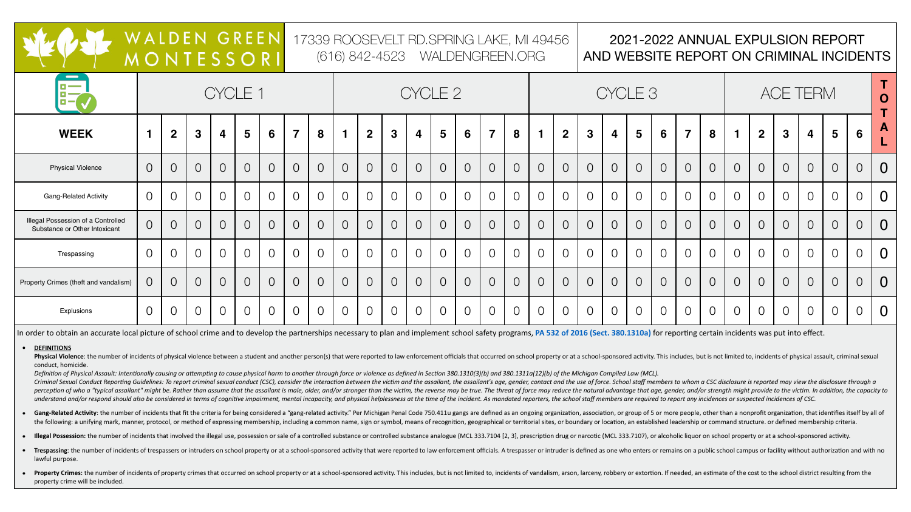

|                                                                            | WALDEN GREEN<br>MONTESSORI |                |              |                |                 |                |                | 17339 ROOSEVELT RD.SPRING LAKE, MI 49456<br>(616) 842-4523 WALDENGREEN.ORG |            |                |                |                         |                |                |                |                |                      |                    | 2021-2022 ANNUAL EXPULSION REPORT<br>AND WEBSITE REPORT ON CRIMINAL INCIDENTS |                         |                 |                |                         |                |  |                         |                |                         |                 |                 |                           |
|----------------------------------------------------------------------------|----------------------------|----------------|--------------|----------------|-----------------|----------------|----------------|----------------------------------------------------------------------------|------------|----------------|----------------|-------------------------|----------------|----------------|----------------|----------------|----------------------|--------------------|-------------------------------------------------------------------------------|-------------------------|-----------------|----------------|-------------------------|----------------|--|-------------------------|----------------|-------------------------|-----------------|-----------------|---------------------------|
| $\blacksquare$<br>$B -$                                                    |                            |                |              |                | CYCLE 1         |                |                |                                                                            | CYCLE 2    |                |                |                         |                |                |                |                |                      | CYCLE <sub>3</sub> |                                                                               |                         |                 |                |                         |                |  |                         |                |                         |                 |                 |                           |
| <b>WEEK</b>                                                                |                            | $\mathbf{2}$   | $\mathbf{3}$ | $\overline{4}$ | $5\overline{)}$ | 6              | $\overline{7}$ | 8                                                                          |            | $\overline{2}$ | $\mathbf{3}$   | $\overline{\mathbf{4}}$ | 5 <sup>5</sup> | 6 <sup>1</sup> | $\overline{7}$ | 8              | $\blacktriangleleft$ | $\overline{2}$     | $\mathbf{3}$                                                                  | $\overline{\mathbf{4}}$ | $5\overline{)}$ | 6              | $\overline{\mathbf{z}}$ | 8              |  | $\overline{2}$          | 3 <sup>1</sup> | $\overline{\mathbf{4}}$ | $5\overline{)}$ | $6\overline{6}$ | $\boldsymbol{\mathsf{A}}$ |
| <b>Physical Violence</b>                                                   |                            | $\overline{O}$ |              |                | $\overline{O}$  | $\overline{O}$ | $\overline{O}$ | $\bigcirc$                                                                 | $\bigcirc$ | $\overline{O}$ | $\overline{O}$ | $\overline{O}$          | $\bigcirc$     | $\bigcirc$     | $\overline{O}$ | $\overline{O}$ | $\overline{O}$       | $\overline{O}$     | $\bigcirc$                                                                    |                         | $\overline{O}$  | $\bigcirc$     | $\overline{O}$          |                |  | $\overline{O}$          | $\overline{O}$ | $\overline{O}$          | $\bigcirc$      | $\overline{O}$  |                           |
| <b>Gang-Related Activity</b>                                               |                            | $\overline{O}$ |              |                | $\overline{O}$  | $\overline{O}$ | $\overline{O}$ | $\bigcirc$                                                                 |            | $\overline{O}$ | $\overline{O}$ | $\overline{O}$          | $\bigcirc$     | $\overline{O}$ | $\overline{O}$ | $\overline{O}$ | $\overline{O}$       | $\overline{O}$     | $\bigcirc$                                                                    | $\overline{O}$          | $\overline{O}$  | $\bigcirc$     | $\overline{O}$          | $\cap$         |  | $\overline{O}$          | $\overline{O}$ | $\overline{O}$          | $\overline{O}$  | $\overline{O}$  | $\overline{0}$            |
| <b>Illegal Possession of a Controlled</b><br>Substance or Other Intoxicant | $\overline{O}$             | $\bigcirc$     |              |                | $\overline{O}$  | $\overline{O}$ | $\overline{O}$ | $\bigcirc$                                                                 | $\bigcirc$ | $\overline{O}$ | $\overline{O}$ | $\overline{O}$          | $\bigcirc$     | $\overline{O}$ | $\overline{O}$ | $\overline{O}$ | $\overline{O}$       | $\overline{O}$     | $\bigcirc$                                                                    |                         | $\overline{O}$  | $\overline{O}$ | $\bigcirc$              | $\overline{O}$ |  | $\overline{0}$          | $\overline{O}$ | $\overline{O}$          | $\bigcirc$      | $\overline{O}$  | $\overline{0}$            |
| Trespassing                                                                |                            | $\overline{O}$ |              |                | $\overline{O}$  | $\overline{O}$ | $\overline{O}$ | $\bigcirc$                                                                 |            |                | $\bigcirc$     |                         | $\bigcirc$     | $\overline{O}$ |                | $\bigcirc$     | $\overline{O}$       | $\overline{O}$     | $\bigcirc$                                                                    |                         | $\overline{O}$  |                | $\overline{O}$          |                |  | $\overline{O}$          | $\overline{O}$ |                         | $\bigcirc$      |                 | $\overline{0}$            |
| Property Crimes (theft and vandalism)                                      |                            | $\overline{O}$ |              |                | $\overline{O}$  | $\overline{O}$ | $\bigcirc$     |                                                                            |            |                | $\bigcirc$     |                         |                | $\overline{0}$ |                | $\overline{O}$ |                      | $\overline{0}$     | $\mathcal C$                                                                  |                         | $\bigcirc$      |                |                         |                |  | $\overline{\mathrm{O}}$ | $\overline{O}$ |                         | $\bigcirc$      |                 |                           |
| Explusions                                                                 |                            |                |              |                | $\overline{O}$  | $\overline{O}$ |                |                                                                            |            |                | $\bigcirc$     |                         | $\bigcirc$     | $\overline{O}$ |                |                | $\overline{O}$       | $\overline{O}$     | $\bigcirc$                                                                    |                         | $\overline{O}$  |                |                         |                |  | $\overline{O}$          | $\overline{O}$ |                         | $\bigcirc$      | $\overline{O}$  | $\bm{0}$                  |

In order to obtain an accurate local picture of school crime and to develop the partnerships necessary to plan and implement school safety programs, PA 532 of 2016 (Sect. 380.1310a) for reporting certain incidents was put

# **• DEFINITIONS**

Physical Violence: the number of incidents of physical violence between a student and another person(s) that were reported to law enforcement officials that occurred on school property or at a school-sponsored activity. Th conduct, homicide.

Definition of Physical Assault: Intentionally causing or attempting to cause physical harm to another through force or violence as defined in Section 380.1310(3)(b) and 380.1311a(12)(b) of the Michigan Compiled Law (MCL). Criminal Sexual Conduct Reporting Guidelines: To report criminal sexual conduct (CSC), consider the interaction between the victim and the assailant, the assailant is age, gender, contact and the use of force. School staff perception of who a "typical assailant" might be. Rather than assume that the assailant is male, older, and/or stronger than the victim, the reverse may be true. The threat of force may reduce the natural advantage that ag understand and/or respond should also be considered in terms of cognitive impairment, mental incapacity, and physical helplessness at the time of the incident. As mandated reporters, the school staff members are required t

- 
- 
- lawful purpose.
- property crime will be included.

Gang-Related Activity: the number of incidents that fit the criteria for being considered a "gang-related activity." Per Michigan Penal Code 750.411u gangs are defined as an ongoing organization, or group of 5 or more peop the following: a unifying mark, manner, protocol, or method of expressing membership, including a common name, sign or symbol, means of recognition, geographical or territorial sites, or boundary or location, an establishe

• Illegal Possession: the number of incidents that involved the illegal use, possession or sale of a controlled substance or controlled substance analogue (MCL 333.7104 [2, 3], prescription drug or narcotic (MCL 333.7107),

Trespassing: the number of incidents of trespassers or intruders on school property or at a school-sponsored activity that were reported to law enforcement officials. A trespasser or intruder is defined as one who enters o

**Property Crimes:** the number of incidents of property crimes that occurred on school property or at a school-sponsored activity. This includes, but is not limited to, incidents of vandalism, arson, larceny, robbery or ext